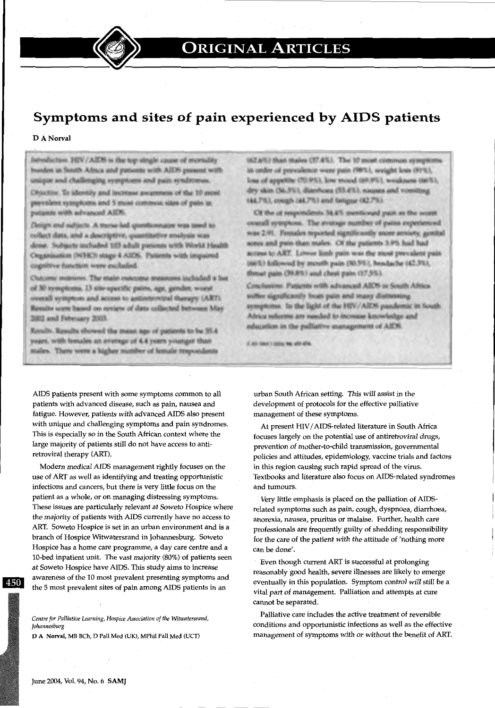

# **ORIGINAL ARTICLES**

## **Symptoms and sites of pain experienced by AIDS patients**

#### **D ANorval**

*Introduction.* HIV / AIDS is the top single cause of mortality<br>Inanbes in South Africa and patients with AIDS present with burden in South Africa and patients with AIDS present with AIDS present with AIDS present with AIDS present with AIDS present with AIDS present with AIDS present with AIDS present with AIDS present with AIDS present with A

unique and challen; and challen; and pain symptoms and pain syndromes. **Objective.** The increase are a series and increase awareness of the 10 most and increase and 10 most awareness of the 10 most and 10 most and 10 most awareness of the 10 most and 10 most awareness of the 10 most and 10 mo prevalent symptoms and 5 most common sites of paint in

patients with advanced AIDS.<br>Design and subjects. A morse-had questionnaire was used to collect data, and a descriptive, quantitative analysis was done. Subjects included 103 adult patients with World Health Organisation (WHK) stage 4 AIDS. Patients with impuired Organisation (WHO) states with impaired With impaired With impaired With impaired With impaired With impaired communication were experienced.

*Outcome measures.* The main outcome measures included a list overall symptom and access to antireterminal therapy (ART). overall symptom and access to antiretroviral therapy (ART). Results were based on review on review collected between May 2000. 2002 and February 2003.

years, with females an average of 4.4 years younger than years, when averages are average of 4.4 years younger than males. There were a higher number of the second responses (62.6%) than makes (37.4%). The 10 most common symptoms loss of appetite (70.9%), low mood (89.9%), weakness (86%), dry skin (76.3%), diamhoes (53.4%), nounes and vomiting 644.7%), cough (44.7%) and fattgue (42.7%).

Cit the of respondents 34.4% mentioned pain as the worst everall symptom. The average number of pains experiment was 2.91. Fomales neported significantly unone anniety, genital scees and pum than males. Of the patients 3.9% had had access to ART. Lower limb pain was the most prevalent pain. 166%) followed by mouth pain (50.5%), headache (42.3%), (fletoat pain (39.8%) and chest pain (17.5%).

Conclusions. Patterns with advanced ABDS in South Africa. wither significantly from pain and many distressing. symptoms. In the light of the HIV/AIDS painfemic in South Africa referens are needed to increase knowledge and Africa reforms are needed to increase to increase to increase and a state of edu,cation in the palliative management of AIDS.

*S Afr Med* J 2004; 94: 450-454.

AIDS patients present with some symptoms common to all patients with advanced disease, such as pain, nausea and fatigue. However, patients with advanced AIDS also present with unique and challenging symptoms and pain syndromes. This is especially so in the South African context where the large majority of patients still do not have access to antiretroviral therapy (ART).

Modern medical AIDS management rightly focuses on the use of ART as well as identifying and treating opportunistic infections and cancers, but there is very little focus on the patient as a whole, or on managing distressing symptoms. These issues are particularly relevant at Soweto Hospice where the majority of patients with AIDS currently have no access to ART. Soweto Hospice is set in an urban environment and is a branch of Hospice Witwatersrand in Johannesburg. Soweto Hospice has a home care programme, a day care centre and a 10-bed inpatient unit. The vast majority (80%) of patients seen at Soweto Hospice have AIDS. This study aims to increase awareness of the 10 most prevalent presenting symptoms and the 5 most prevalent sites of pain among AIDS patients in an

*Centre for Palliative Learning, Hospice Association of the Witwatersrand, Johannesburg* 

**0** A Norval, MB BCh, 0 Pall Med (UK), MPhil Pall Med (UCT)

urban South African setting. This will assist in the development of protocols for the effective palliative management of these symptoms.

At present HIV/AIDS-related literature in South Africa focuses largely on the potential use of antiretroviral drugs, prevention of mother-to-child transmission, governmental policies and attitudes, epidemiology, vaccine trials and factors in this region causing such rapid spread of the virus. Textbooks and literature also focus on AIDS-related syndromes and tumours.

Very little emphasis is placed on the palliation of AIDSrelated symptoms such as pain, cough, dyspnoea, diarrhoea, anorexia, nausea, pruritus or malaise. Further, health care professionals are frequently guilty of shedding responsibility for the care of the patient with the attitude of 'nothing more can be done'.

Even though current ART is successful at prolonging reasonably good health, severe illnesses are likely to emerge eventually in this population. Symptom control will still be a vital part of management. Palliation and attempts at cure cannot be separated.

Palliative care includes the active treatment of reversible conditions and opportunistic infections as well as the effective management of symptoms with or without the benefit of ART.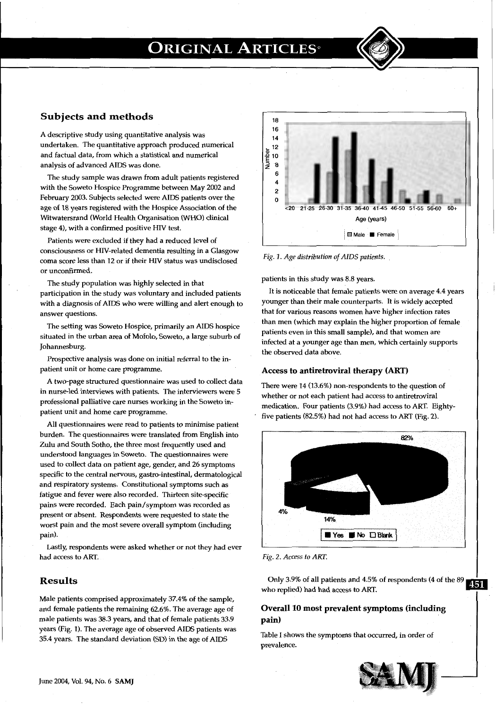## **ORIGINAL ARTICLES<sup>®</sup>**



A descriptive study using quantitative analysis was undertaken. The quantitative approach produced numerical and factual data, from which a statistical and numerical analysis of advanced AIDS was done.

The study sample was drawn from adult patients registered with the Soweto Hospice Programme between May 2002 and February 2003. Subjects selected were AIDS patients over the age of 18 years registered with the Hospice Association of the Witwatersrand (World Health Organisation (WHO) clinical stage 4), with a confirmed positive HIV test.

Patients were excluded if they had a reduced level of consciousness or HIV-related dementia resulting in a Glasgow coma score less than 12 or if their HIV status was undisclosed or unconfirmed.

The study population was highly selected in that participation in the study was voluntary and included patients with a diagnosis of AIDS who were willing and alert enough to answer questions.

The setting was Soweto Hospice, primarily an AIDS hospice situated in the urban area of Mofolo, Soweto, a large suburb of Johannesburg.

Prospective analysis was done on initial referral to the inpatient unit or home care programme.

A two-page structured questionnaire was used to collect data in nurse-led interviews with patients. The interviewers were 5 professional palliative care nurses working in the Soweto inpatient unit and home care programme.

All questionnaires were read to patients to minimise patient burden. The questionnaires were translated from English into Zulu and South Sotho, the three most frequently used and understood languages in Soweto. The questionnaires were used to collect data on patient age, gender, and 26 symptoms specific to the central nervous, gastro-intestinal, dermatological and respiratory systems. Constitutional symptoms such as fatigue and fever were also recorded. Thirteen site-specific pains were recorded. Each pain/ symptom was recorded as present or absent. Respondents were requested to state the worst pain and the most severe overall symptom (including pain).

Lastly, respondents were asked whether or not they had ever had access to ART.

## Results

Male patients comprised approximately 37.4% of the sample, and female patients the remaining 62.6%. The average age of male patients was 38.3 years, and that of female patients 33.9 years (Fig. 1). The average age of observed AIDS patients was 35.4 years. The standard deviation (SD) in the age of AIDS



*Fig. 1. Age distribution of AIDS patients.* 

patients in this study was 8.8 years.

It is noticeable that female patients were on average 4.4 years younger than their male counterparts. It is widely accepted that for various reasons women have higher infection rates than men (which may explain the higher proportion of female patients even in this small sample), and that women are infected at a younger age than men, which certainly supports the observed data above.

#### Access to antiretroviral therapy (ART)

There were 14 (13.6%) non-respondents to the question of whether or not each patient had access to antiretroviral medication. Four patients (3.9%) had access to ART. Eightyfive patients (82.5%) had not had access to ART (Fig. 2).



*Fig.* 2. *Access to ART.* 

Only 3.9% of all patients and 4.5% of respondents (4 of the 89<sup>1</sup>151<sup>t</sup> who replied) had had access to ART.

## Overall tO most prevalent symptoms (including pain)

Table I shows the symptoms that occurred, in order of prevalence.

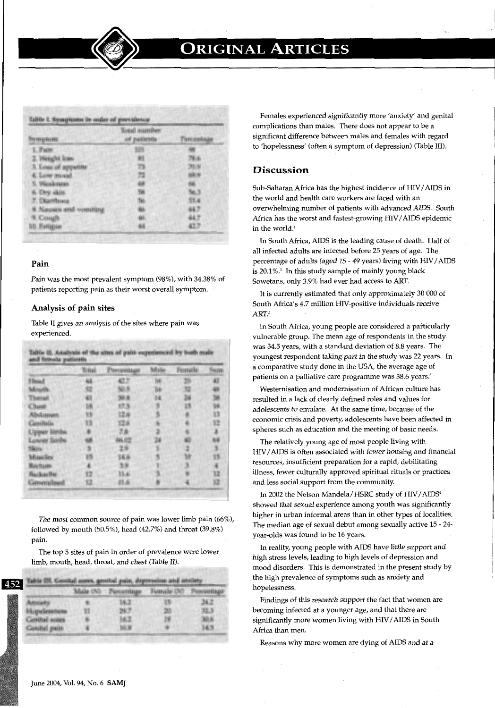| <b>Homepoon</b>         | <b>Total munder</b><br>of puttients | <b><i><u>Тинивние</u></i></b> |  |
|-------------------------|-------------------------------------|-------------------------------|--|
| L. Fistan               | ۰                                   | 甲                             |  |
| 2. Westgive lease.      | 93                                  | 79.16                         |  |
| 3. Loss of appoints     | в                                   | 201/97                        |  |
| 6. Lowe moved.          | 22                                  | 補助策                           |  |
| 5. Winsletteren         | 418                                 | 16                            |  |
| 6. Dry skin.            | 78                                  | 746.30                        |  |
| 7. Окалявание           | Tel.                                | 气孔道                           |  |
| В. Завания ней этотики. | 66                                  | 667                           |  |
| 91. Caugh.              | 61                                  | 44.7                          |  |
| <b>MD. Particular</b>   | 66                                  | 42.7                          |  |

### Pain

Pain was the most prevalent symptom (98%), with 34.38% of patients reporting pain as their worst overall symptom.

## Analysis of pain sites

Table II gives an analysis of the sites where pain was experienced.

|                         | Total | <b><i>TAHURHGALSE</i></b> | Msike | Fennafia | <b>GEERS</b> |
|-------------------------|-------|---------------------------|-------|----------|--------------|
| <b>Head</b>             | 砡     | 43.7                      | m     | 35       | 63           |
| Mouth                   | 茻     | 開港                        | DB:   | 甜        |              |
| Thermail <sup>1</sup>   | 61    | 360.78                    | 54    | 24       |              |
| <b>Chunt</b>            | bW.   | 17.5                      |       | 話        | 经发票          |
| <b>Albeitenmann</b>     | H3    | 12.6                      |       |          | 13           |
| Canvillaga              | 13    | 認示                        |       |          | 12           |
| <b>Ulpywer literihm</b> |       | 世界                        |       |          | ¥            |
| <b>Lowar lands</b>      | uti   | 山口                        |       |          |              |
| <b>Slain</b>            |       | 29                        |       |          | 의도           |
| Maurites                |       | 日転座                       |       | 10       | UB.          |
| <b>Ranchages</b>        |       | 35                        |       |          |              |
| <b>Biodivective</b>     | 12    | Iti.a.                    |       |          | 12           |
| <b>Canumalinof</b>      | 眼     | 且系                        |       |          | 蹉            |

The most common source of pain was lower limb pain (66%), followed by mouth (50.5%), head (42.7%) and throat (39.8%) pain.

The top 5 sites of pain in order of prevalence were lower limb, mouth, head, throat, and chest (Table II).

|                        |   | Male (%) Percentage | Female (36) Femontage |       |
|------------------------|---|---------------------|-----------------------|-------|
| <b>Autoscultur</b>     |   | 56.2                | 15                    | 34.2  |
| В Подрыбатил Ны ток    | и | 26.7                | 20                    | 33.3  |
| <b>Cantital</b> assess |   | 16.2                | 79                    | 知道    |
| <b>Canchal guean</b>   |   | <b>MAX</b>          |                       | 14.7% |

Females experienced significantly more 'anxiety' and genital complications than males. There does not appear to be a significant difference between males and females with regard to 'hopelessness' (often a symptom of depression) (Table III).

## Discussion

Sub-Saharan Africa has the highest incidence of HIV/AIDS in the world and health care workers are faced with an overwhelming number of patients with advanced AIDS. South Africa has the worst and fastest-growing HIV/AIDS epidemic in the world.'

In South Africa, AIDS is the leading cause of death. Half of all infected adults are infected before 25 years of age. The percentage of adults (aged 15 - 49 years) living with HIV/AIDS is 20.1%.<sup>1</sup> In this study sample of mainly young black Sowetans, only 3.9% had ever had access to ART.

It is currently estimated that only approximately 30 000 of South Africa's 4.7 million HIV-positive individuals receive ART.<sup>2</sup>

In South Africa, young people are considered a particularly vulnerable group. The mean age of respondents in the study was 34.5 years, with a standard deviation of 8.8 years. The youngest respondent taking part in the study was 22 years. In a comparative study done in the USA, the average age of patients on a palliative care programme was 38.6 years.<sup>3</sup>

Westernisation and modernisation of African culture has resulted in a lack of clearly defined roles and values for adolescents to emulate. At the same time, because of the economic crisis and poverty, adolescents have been affected in spheres such as education and the meeting of basic needs.

The relatively young age of most people living with HIV/AIDS is often associated with fewer housing and financial resources, insufficient preparation for a rapid, debilitating illness, fewer culturally approved spiritual rituals or practices and less social support from the community.

In 2002 the Nelson Mandela/HSRC study of HIV/AIDS<sup>4</sup> showed that sexual experience among youth was significantly higher in urban informal areas than in other types of localities. The median age of sexual debut among sexually active 15 - 24 year-olds was found to be 16 years.

In reality, young people with AIDS have little support and high stress levels, leading to high levels of depression and mood disorders. This is demonstrated in the present study by the high prevalence of symptoms such as anxiety and hopelessness.

Findings of this research support the fact that women are becoming infected at a younger age, and that there are significantly more women living with HIV/AIDS in South Africa than men.

Reasons why more women are dying of AIDS and at a

45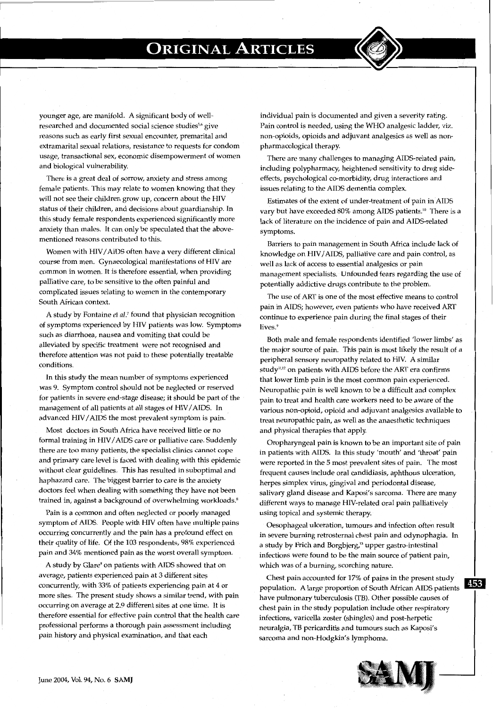## **ORIGINAL ARTICLES**

younger age, are manifold. A significant body of wellresearched and documented social science studies<sup>5,6</sup> give reasons such as early first sexual encounter, premarital and extramarital sexual relations, resistance to requests for condom usage, transactional sex, economic disempowerment of women and biological vulnerability.

There is a great deal of sorrow, anxiety and stress among female patients. This may relate to women knowing that they will not see their children grow up, concern about the HIV status of their children, and decisions about guardianship. In this study female respondents experienced significantly more anxiety than males. It can only be speculated that the abovementioned reasons contributed to this.

Women with HIV/AIDS often have a very different clinical course from men. Gynaecological manifestations of HIV are common in women. It is therefore essential, when providing palliative care, to be sensitive to the often painful and complicated issues relating to women in the contemporary South African context.

A study by Fontaine et al.<sup>7</sup> found that physician recognition of symptoms experienced by HIV patients was low. Symptoms such as diarrhoea, nausea and vomiting that could be alleviated by specific treatment were not recognised and therefore attention was not paid to these potentially treatable conditions.

In this study the mean number of symptoms experienced was 9. Symptom control should not be neglected or reserved for patients in severe end-stage disease; it should be part of the management of all patients at all stages of HIV/AIDS. In advanced HIV/AIDS the most prevalent symptom is pain.

Most doctors in South Africa have received little or no formal training in HIV/AIDS care or palliative care. Suddenly there are too many patients, the specialist clinics cannot cope and primary care level is faced with dealing with this epidemic without clear guidelines. This has resulted in suboptimal and haphazard care. The biggest barrier to care is the anxiety doctors feel when dealing with something they have not been trained in, against a background of overwhelming workloads.'

Pain is a common and often neglected or poorly managed symptom of AIDS. People with HIV often have multiple pains occurring concurrently and the pain has a profound effect on their quality of life. Of the 103 respondents, 98% experienced pain and 34% mentioned pain as the worst overall symptom.

A study by Glare' on patients with AIDS showed that on average, patients experienced pain at 3 different sites concurrently, with 33% of patients experiencing pain at 4 or more sites. The present study shows a similar trend, with pain occurring on average at 2.9 different sites at one time. It is therefore essential for effective pain control that the health care professional performs a thorough pain assessment including pain history and physical examination, and that each

individual pain is documented and given a severity rating. Pain control is needed, using the WHO analgesic ladder, viz. non-opioids, opioids and adjuvant analgesics as well as nonpharmacological therapy.

There are many challenges to managing AIDS-related pain, including polypharmacy, heightened sensitivity to drug sideeffects, psychological co-morbidity, drug interactions and issues relating to the AIDS dementia complex.

Estimates of the extent of under-treatment of pain in AIDS vary but have exceeded 80% among AIDS patients.<sup>10</sup> There is a lack of literature on the incidence of pain and AIDS-related symptoms.

Barriers to pain management in South Africa include lack of knowledge on HIV/AIDS, palliative care and pain control, as well as lack of access to essential analgesics or pain management specialists. Unfounded fears regarding the use of potentially addictive drugs contribute to the problem.

The use of ART is one of the most effective means to control pain in AIDS; however, even patients who have received ART continue to experience pain during the final stages of their lives.<sup>9</sup>

Both male and female respondents identified 'lower limbs' as the major source of pain. This pain is most likely the result of a peripheral sensory neuropathy related to HIV. A similar study $11,12$  on patients with AIDS before the ART era confirms that lower limb pain is the most common pain experienced. Neuropathic pain is well known to be a difficult and complex pain to treat and health care workers need to be aware of the various non-opioid, opioid and adjuvant analgesics available to treat neuropathic pain, as well as the anaesthetic techniques and physical therapies that apply.

Oropharyngeal pain is known to be an important site of pain in patients with AIDS. In this study 'mouth' and 'throat' pain were reported in the 5 most prevalent sites of pain. The most frequent causes include oral candidiasis, aphthous ulceration, herpes simplex virus, gingival and periodontal disease, salivary gland disease and Kaposi's sarcoma. There are many different ways to manage HIV-related oral pain palliatively using topical and systemic therapy.

Oesophageal ulceration, tumours and infection often result in severe burning retrosternal chest pain and odynophagia. In a study by Frich and Borgbjerg,<sup>13</sup> upper gastro-intestinal infections were found to be the main source of patient pain, which was of a burning, scorching nature.

Chest pain accounted for 17% of pains in the present study population. A large proportion of South African AIDS patients have pulmonary tuberculosis (TB). Other possible causes of chest pain in the study population include other respiratory infections, varicella zoster (shingles) and post-herpetic neuralgia, TB pericarditis and tumours such as Kaposi's sarcoma and non-Hodgkin's lymphoma.



453